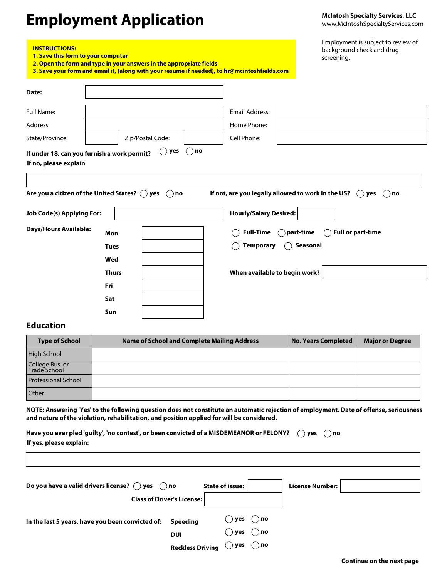# **Employment Application**

**McIntosh Specialty Services, LLC**  www.McIntoshSpecialtyServices.com

| Employment is subject to review of |
|------------------------------------|
| background check and drug          |
| screening.                         |

| 1. Save this form to your computer | 2. Open the form and type in your answers in the appropriate fields    | screening.<br>3. Save your form and email it, (along with your resume if needed), to hr@mcintoshfields.com     |
|------------------------------------|------------------------------------------------------------------------|----------------------------------------------------------------------------------------------------------------|
| Date:                              |                                                                        |                                                                                                                |
| <b>Full Name:</b>                  |                                                                        | <b>Email Address:</b>                                                                                          |
| Address:                           |                                                                        | Home Phone:                                                                                                    |
| State/Province:                    | Zip/Postal Code:                                                       | Cell Phone:                                                                                                    |
| <b>Job Code(s) Applying For:</b>   | Are you a citizen of the United States? $\bigcirc$ yes<br>$\bigcap$ no | If not, are you legally allowed to work in the US?<br>$()$ yes<br>$($ )<br>no<br><b>Hourly/Salary Desired:</b> |
| <b>Days/Hours Available:</b>       | Mon                                                                    | <b>Full or part-time</b><br><b>Full-Time</b><br>part-time                                                      |
|                                    | <b>Tues</b>                                                            | <b>Temporary</b><br>Seasonal                                                                                   |
|                                    | Wed                                                                    |                                                                                                                |
|                                    | <b>Thurs</b>                                                           | When available to begin work?                                                                                  |
|                                    | Fri                                                                    |                                                                                                                |
|                                    | Sat                                                                    |                                                                                                                |
|                                    | Sun                                                                    |                                                                                                                |

#### **Education**

**INSTRUCTIONS:** 

| <b>Type of School</b>           | <b>Name of School and Complete Mailing Address</b> | No. Years Completed | <b>Major or Degree</b> |
|---------------------------------|----------------------------------------------------|---------------------|------------------------|
| High School                     |                                                    |                     |                        |
| College Bus. or<br>Trade School |                                                    |                     |                        |
| <b>Professional School</b>      |                                                    |                     |                        |
| <b>Other</b>                    |                                                    |                     |                        |

**NOTE: Answering 'Yes' to the following question does not constitute an automatic rejection of employment. Date of offense, seriousness and nature of the violation, rehabilitation, and position applied for will be considered.**

| Have you ever pled 'guilty', 'no contest', or been convicted of a MISDEMEANOR or FELONY?<br>∩ no<br>yes<br>If yes, please explain: |                        |  |                 |  |
|------------------------------------------------------------------------------------------------------------------------------------|------------------------|--|-----------------|--|
| Do you have a valid drivers license? $\bigcirc$ yes $\bigcirc$ no<br><b>Class of Driver's License:</b>                             | <b>State of issue:</b> |  | License Number: |  |

In the last 5 years, have you been convicted of: **Speeding**  $\bigcirc$  yes  $\bigcirc$  no

**yes no Reckless Driving**

**yes no**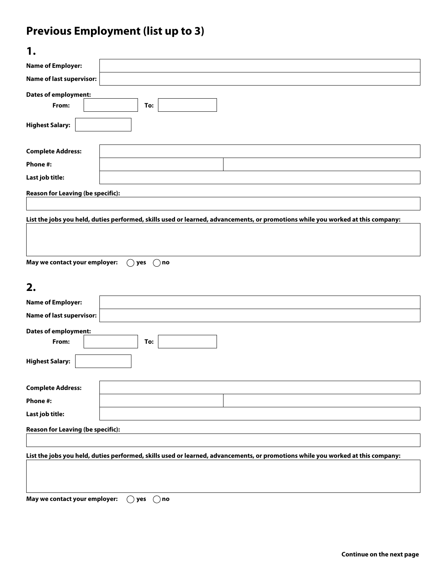## **Previous Employment (list up to 3)**

| 1.                                       |                                                                                                                                 |
|------------------------------------------|---------------------------------------------------------------------------------------------------------------------------------|
| <b>Name of Employer:</b>                 |                                                                                                                                 |
| <b>Name of last supervisor:</b>          |                                                                                                                                 |
| <b>Dates of employment:</b>              |                                                                                                                                 |
| From:                                    | To:                                                                                                                             |
| <b>Highest Salary:</b>                   |                                                                                                                                 |
| <b>Complete Address:</b>                 |                                                                                                                                 |
| Phone #:                                 |                                                                                                                                 |
| Last job title:                          |                                                                                                                                 |
| <b>Reason for Leaving (be specific):</b> |                                                                                                                                 |
|                                          | List the jobs you held, duties performed, skills used or learned, advancements, or promotions while you worked at this company: |
| May we contact your employer:            | ∩no)<br>$($ )<br>yes                                                                                                            |
| 2.                                       |                                                                                                                                 |
| <b>Name of Employer:</b>                 |                                                                                                                                 |
| <b>Name of last supervisor:</b>          |                                                                                                                                 |
| <b>Dates of employment:</b><br>From:     | To:                                                                                                                             |
| <b>Highest Salary:</b>                   |                                                                                                                                 |
| <b>Complete Address:</b>                 |                                                                                                                                 |
| Phone #:                                 |                                                                                                                                 |
| Last job title:                          |                                                                                                                                 |
| <b>Reason for Leaving (be specific):</b> |                                                                                                                                 |
|                                          | List the jobs you held, duties performed, skills used or learned, advancements, or promotions while you worked at this company: |

**May we contact your employer:**  $\bigcirc$  yes  $\bigcirc$  no